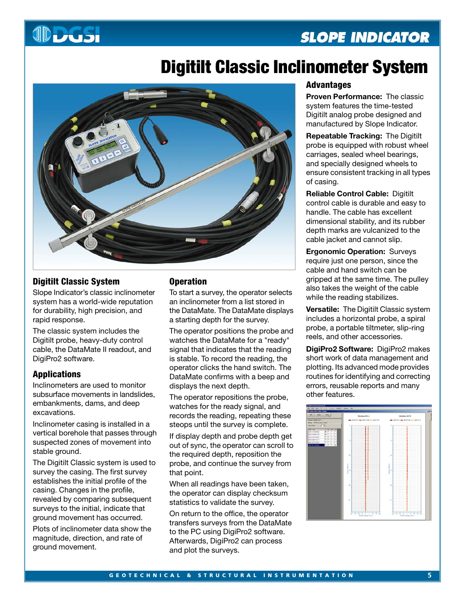# **JDDGSI**

### **SLOPE INDICATOR**

## **Digitilt Classic Inclinometer System**



#### **Digitilt Classic System**

Slope Indicator's classic inclinometer system has a world-wide reputation for durability, high precision, and rapid response.

The classic system includes the Digitilt probe, heavy-duty control cable, the DataMate II readout, and DigiPro2 software.

#### **Applications**

Inclinometers are used to monitor subsurface movements in landslides, embankments, dams, and deep excavations.

Inclinometer casing is installed in a vertical borehole that passes through suspected zones of movement into stable ground.

The Digitilt Classic system is used to survey the casing. The first survey establishes the initial profile of the casing. Changes in the profile, revealed by comparing subsequent surveys to the initial, indicate that ground movement has occurred.

Plots of inclinometer data show the magnitude, direction, and rate of ground movement.

#### **Operation**

To start a survey, the operator selects an inclinometer from a list stored in the DataMate. The DataMate displays a starting depth for the survey.

The operator positions the probe and watches the DataMate for a "ready" signal that indicates that the reading is stable. To record the reading, the operator clicks the hand switch. The DataMate confirms with a beep and displays the next depth.

The operator repositions the probe, watches for the ready signal, and records the reading, repeating these steops until the survey is complete.

If display depth and probe depth get out of sync, the operator can scroll to the required depth, reposition the probe, and continue the survey from that point.

When all readings have been taken, the operator can display checksum statistics to validate the survey.

On return to the office, the operator transfers surveys from the DataMate to the PC using DigiPro2 software. Afterwards, DigiPro2 can process and plot the surveys.

#### **Advantages**

**Proven Performance:** The classic system features the time-tested Digitilt analog probe designed and manufactured by Slope Indicator.

**Repeatable Tracking:** The Digitilt probe is equipped with robust wheel carriages, sealed wheel bearings, and specially designed wheels to ensure consistent tracking in all types of casing.

**Reliable Control Cable:** Digitilt control cable is durable and easy to handle. The cable has excellent dimensional stability, and its rubber depth marks are vulcanized to the cable jacket and cannot slip.

**Ergonomic Operation:** Surveys require just one person, since the cable and hand switch can be gripped at the same time. The pulley also takes the weight of the cable while the reading stabilizes.

**Versatile:** The Digitilt Classic system includes a horizontal probe, a spiral probe, a portable tiltmeter, slip-ring reels, and other accessories.

**DigiPro2 Software:** DigiPro2 makes short work of data management and plotting. Its advanced mode provides routines for identifying and correcting errors, reusable reports and many other features.